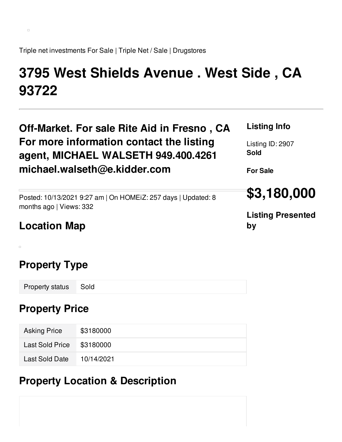$\Box$ 

Triple net investments For Sale | Triple Net / Sale | Drugstores

# **3795 West Shields Avenue . West Side , CA 93722**

| Off-Market. For sale Rite Aid in Fresno, CA                   | <b>Listing Info</b>      |  |
|---------------------------------------------------------------|--------------------------|--|
| For more information contact the listing                      | Listing ID: 2907         |  |
| agent, MICHAEL WALSETH 949.400.4261                           | <b>Sold</b>              |  |
| michael.walseth@e.kidder.com                                  | <b>For Sale</b>          |  |
| Posted: 10/13/2021 9:27 am   On HOMEIZ: 257 days   Updated: 8 | \$3,180,000              |  |
| months ago   Views: 332                                       | <b>Listing Presented</b> |  |
| <b>Location Map</b>                                           | by                       |  |

# **Property Type**

 $\Box$ 

Property status Sold

### **Property Price**

| <b>Asking Price</b>       | \$3180000  |
|---------------------------|------------|
| Last Sold Price \$3180000 |            |
| Last Sold Date            | 10/14/2021 |

# **Property Location & Description**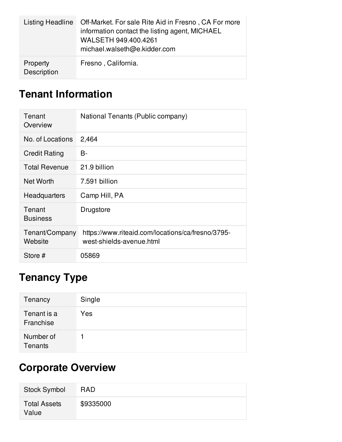| Listing Headline        | Off-Market. For sale Rite Aid in Fresno, CA For more<br>information contact the listing agent, MICHAEL<br>WALSETH 949.400.4261<br>michael.walseth@e.kidder.com |
|-------------------------|----------------------------------------------------------------------------------------------------------------------------------------------------------------|
| Property<br>Description | Fresno, California.                                                                                                                                            |

# **Tenant Information**

| Tenant<br>Overview        | National Tenants (Public company)                                             |
|---------------------------|-------------------------------------------------------------------------------|
| No. of Locations          | 2,464                                                                         |
| <b>Credit Rating</b>      | B-                                                                            |
| <b>Total Revenue</b>      | 21.9 billion                                                                  |
| Net Worth                 | 7.591 billion                                                                 |
| Headquarters              | Camp Hill, PA                                                                 |
| Tenant<br><b>Business</b> | Drugstore                                                                     |
| Tenant/Company<br>Website | https://www.riteaid.com/locations/ca/fresno/3795-<br>west-shields-avenue.html |
| Store #                   | 05869                                                                         |

# **Tenancy Type**

| Tenancy                  | Single |
|--------------------------|--------|
| Tenant is a<br>Franchise | Yes    |
| Number of<br>Tenants     |        |

# **Corporate Overview**

| <b>Stock Symbol</b>          | <b>RAD</b> |
|------------------------------|------------|
| <b>Total Assets</b><br>Value | \$9335000  |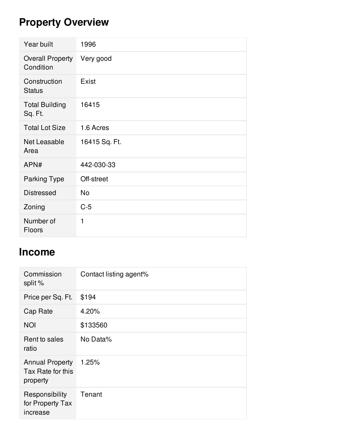# **Property Overview**

| Year built                           | 1996          |
|--------------------------------------|---------------|
| <b>Overall Property</b><br>Condition | Very good     |
| Construction<br><b>Status</b>        | Exist         |
| <b>Total Building</b><br>Sq. Ft.     | 16415         |
| <b>Total Lot Size</b>                | 1.6 Acres     |
| Net Leasable<br>Area                 | 16415 Sq. Ft. |
| APN#                                 | 442-030-33    |
| <b>Parking Type</b>                  | Off-street    |
| <b>Distressed</b>                    | <b>No</b>     |
| Zoning                               | $C-5$         |
| Number of<br><b>Floors</b>           | 1             |

### **Income**

| Commission<br>split %                                   | Contact listing agent% |
|---------------------------------------------------------|------------------------|
| Price per Sq. Ft.                                       | \$194                  |
| Cap Rate                                                | 4.20%                  |
| <b>NOI</b>                                              | \$133560               |
| Rent to sales<br>ratio                                  | No Data%               |
| <b>Annual Property</b><br>Tax Rate for this<br>property | 1.25%                  |
| Responsibility<br>for Property Tax<br>increase          | Tenant                 |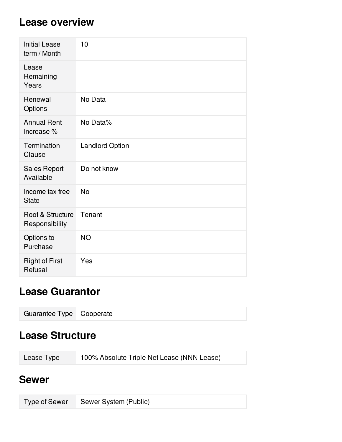#### **Lease overview**

| <b>Initial Lease</b><br>term / Month | 10                     |
|--------------------------------------|------------------------|
| Lease<br>Remaining<br>Years          |                        |
| Renewal<br>Options                   | No Data                |
| <b>Annual Rent</b><br>Increase %     | No Data%               |
| Termination<br>Clause                | <b>Landlord Option</b> |
| <b>Sales Report</b><br>Available     | Do not know            |
| Income tax free<br><b>State</b>      | <b>No</b>              |
| Roof & Structure<br>Responsibility   | Tenant                 |
| Options to<br>Purchase               | <b>NO</b>              |
| <b>Right of First</b><br>Refusal     | Yes                    |

### **Lease Guarantor**

# **Lease Structure**

| Lease Type | 100% Absolute Triple Net Lease (NNN Lease) |
|------------|--------------------------------------------|
|            |                                            |

#### **Sewer**

| Type of Sewer Sewer System (Public) |
|-------------------------------------|